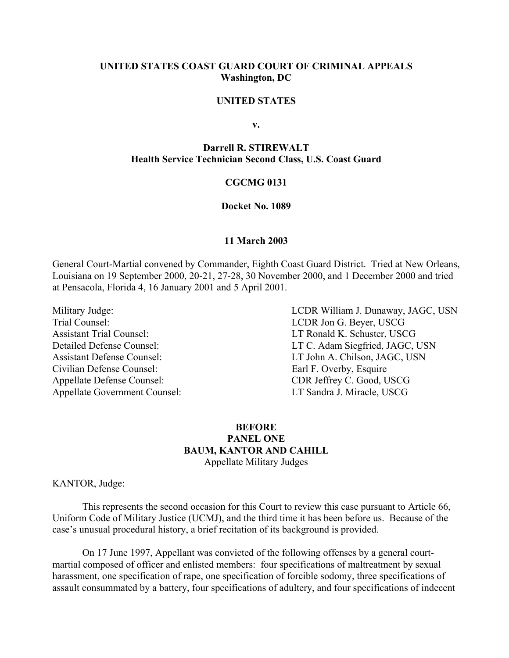## **UNITED STATES COAST GUARD COURT OF CRIMINAL APPEALS Washington, DC**

#### **UNITED STATES**

**v.** 

#### **Darrell R. STIREWALT Health Service Technician Second Class, U.S. Coast Guard**

#### **CGCMG 0131**

#### **Docket No. 1089**

#### **11 March 2003**

General Court-Martial convened by Commander, Eighth Coast Guard District. Tried at New Orleans, Louisiana on 19 September 2000, 20-21, 27-28, 30 November 2000, and 1 December 2000 and tried at Pensacola, Florida 4, 16 January 2001 and 5 April 2001.

Trial Counsel: LCDR Jon G. Beyer, USCG Assistant Trial Counsel: LT Ronald K. Schuster, USCG Civilian Defense Counsel: Earl F. Overby, Esquire Appellate Defense Counsel: CDR Jeffrey C. Good, USCG Appellate Government Counsel: LT Sandra J. Miracle, USCG

Military Judge: LCDR William J. Dunaway, JAGC, USN Detailed Defense Counsel: LT C. Adam Siegfried, JAGC, USN Assistant Defense Counsel: LT John A. Chilson, JAGC, USN

## **BEFORE PANEL ONE BAUM, KANTOR AND CAHILL**  Appellate Military Judges

KANTOR, Judge:

This represents the second occasion for this Court to review this case pursuant to Article 66, Uniform Code of Military Justice (UCMJ), and the third time it has been before us. Because of the case's unusual procedural history, a brief recitation of its background is provided.

On 17 June 1997, Appellant was convicted of the following offenses by a general courtmartial composed of officer and enlisted members: four specifications of maltreatment by sexual harassment, one specification of rape, one specification of forcible sodomy, three specifications of assault consummated by a battery, four specifications of adultery, and four specifications of indecent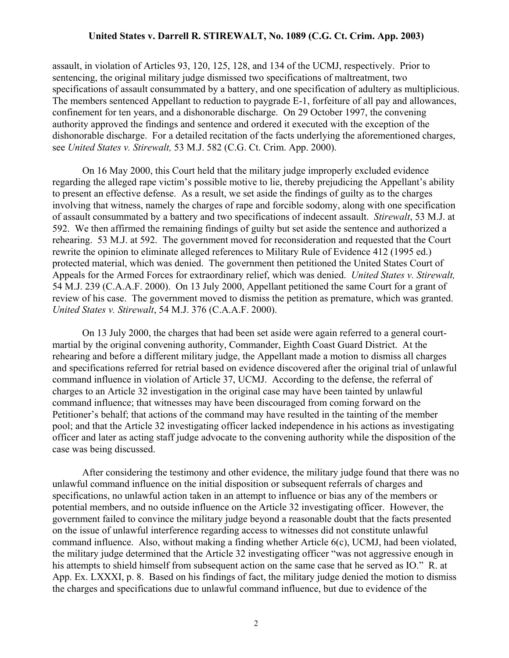assault, in violation of Articles 93, 120, 125, 128, and 134 of the UCMJ, respectively. Prior to sentencing, the original military judge dismissed two specifications of maltreatment, two specifications of assault consummated by a battery, and one specification of adultery as multiplicious. The members sentenced Appellant to reduction to paygrade E-1, forfeiture of all pay and allowances, confinement for ten years, and a dishonorable discharge. On 29 October 1997, the convening authority approved the findings and sentence and ordered it executed with the exception of the dishonorable discharge. For a detailed recitation of the facts underlying the aforementioned charges, see *United States v. Stirewalt,* 53 M.J. 582 (C.G. Ct. Crim. App. 2000).

On 16 May 2000, this Court held that the military judge improperly excluded evidence regarding the alleged rape victim's possible motive to lie, thereby prejudicing the Appellant's ability to present an effective defense. As a result, we set aside the findings of guilty as to the charges involving that witness, namely the charges of rape and forcible sodomy, along with one specification of assault consummated by a battery and two specifications of indecent assault. *Stirewalt*, 53 M.J. at 592. We then affirmed the remaining findings of guilty but set aside the sentence and authorized a rehearing. 53 M.J. at 592. The government moved for reconsideration and requested that the Court rewrite the opinion to eliminate alleged references to Military Rule of Evidence 412 (1995 ed.) protected material, which was denied. The government then petitioned the United States Court of Appeals for the Armed Forces for extraordinary relief, which was denied. *United States v. Stirewalt,*  54 M.J. 239 (C.A.A.F. 2000). On 13 July 2000, Appellant petitioned the same Court for a grant of review of his case. The government moved to dismiss the petition as premature, which was granted. *United States v. Stirewalt*, 54 M.J. 376 (C.A.A.F. 2000).

On 13 July 2000, the charges that had been set aside were again referred to a general courtmartial by the original convening authority, Commander, Eighth Coast Guard District. At the rehearing and before a different military judge, the Appellant made a motion to dismiss all charges and specifications referred for retrial based on evidence discovered after the original trial of unlawful command influence in violation of Article 37, UCMJ. According to the defense, the referral of charges to an Article 32 investigation in the original case may have been tainted by unlawful command influence; that witnesses may have been discouraged from coming forward on the Petitioner's behalf; that actions of the command may have resulted in the tainting of the member pool; and that the Article 32 investigating officer lacked independence in his actions as investigating officer and later as acting staff judge advocate to the convening authority while the disposition of the case was being discussed.

After considering the testimony and other evidence, the military judge found that there was no unlawful command influence on the initial disposition or subsequent referrals of charges and specifications, no unlawful action taken in an attempt to influence or bias any of the members or potential members, and no outside influence on the Article 32 investigating officer. However, the government failed to convince the military judge beyond a reasonable doubt that the facts presented on the issue of unlawful interference regarding access to witnesses did not constitute unlawful command influence. Also, without making a finding whether Article 6(c), UCMJ, had been violated, the military judge determined that the Article 32 investigating officer "was not aggressive enough in his attempts to shield himself from subsequent action on the same case that he served as IO." R. at App. Ex. LXXXI, p. 8. Based on his findings of fact, the military judge denied the motion to dismiss the charges and specifications due to unlawful command influence, but due to evidence of the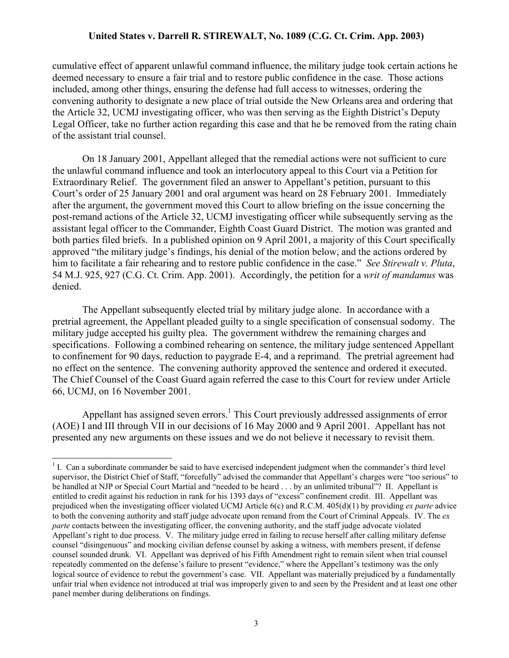cumulative effect of apparent unlawful command influence, the military judge took certain actions he deemed necessary to ensure a fair trial and to restore public confidence in the case. Those actions included, among other things, ensuring the defense had full access to witnesses, ordering the convening authority to designate a new place of trial outside the New Orleans area and ordering that the Article 32, UCMJ investigating officer, who was then serving as the Eighth District's Deputy Legal Officer, take no further action regarding this case and that he be removed from the rating chain of the assistant trial counsel.

On 18 January 2001, Appellant alleged that the remedial actions were not sufficient to cure the unlawful command influence and took an interlocutory appeal to this Court via a Petition for Extraordinary Relief. The government filed an answer to Appellant's petition, pursuant to this Court's order of 25 January 2001 and oral argument was heard on 28 February 2001. Immediately after the argument, the government moved this Court to allow briefing on the issue concerning the post-remand actions of the Article 32, UCMJ investigating officer while subsequently serving as the assistant legal officer to the Commander, Eighth Coast Guard District. The motion was granted and both parties filed briefs. In a published opinion on 9 April 2001, a majority of this Court specifically approved "the military judge's findings, his denial of the motion below, and the actions ordered by him to facilitate a fair rehearing and to restore public confidence in the case." *See Stirewalt v. Pluta*, 54 M.J. 925, 927 (C.G. Ct. Crim. App. 2001). Accordingly, the petition for a *writ of mandamus* was denied.

The Appellant subsequently elected trial by military judge alone. In accordance with a pretrial agreement, the Appellant pleaded guilty to a single specification of consensual sodomy. The military judge accepted his guilty plea. The government withdrew the remaining charges and specifications. Following a combined rehearing on sentence, the military judge sentenced Appellant to confinement for 90 days, reduction to paygrade E-4, and a reprimand. The pretrial agreement had no effect on the sentence. The convening authority approved the sentence and ordered it executed. The Chief Counsel of the Coast Guard again referred the case to this Court for review under Article 66, UCMJ, on 16 November 2001.

Appellant has assigned seven errors.<sup>[1](#page-2-0)</sup> This Court previously addressed assignments of error (AOE) I and III through VII in our decisions of 16 May 2000 and 9 April 2001. Appellant has not presented any new arguments on these issues and we do not believe it necessary to revisit them.

<span id="page-2-0"></span><sup>|&</sup>lt;br>|<br>| <sup>1</sup> I. Can a subordinate commander be said to have exercised independent judgment when the commander's third level supervisor, the District Chief of Staff, "forcefully" advised the commander that Appellant's charges were "too serious" to be handled at NJP or Special Court Martial and "needed to be heard . . . by an unlimited tribunal"? II. Appellant is entitled to credit against his reduction in rank for his 1393 days of "excess" confinement credit. III. Appellant was prejudiced when the investigating officer violated UCMJ Article 6(c) and R.C.M. 405(d)(1) by providing *ex parte* advice to both the convening authority and staff judge advocate upon remand from the Court of Criminal Appeals. IV. The *ex parte* contacts between the investigating officer, the convening authority, and the staff judge advocate violated Appellant's right to due process. V. The military judge erred in failing to recuse herself after calling military defense counsel "disingenuous" and mocking civilian defense counsel by asking a witness, with members present, if defense counsel sounded drunk. VI. Appellant was deprived of his Fifth Amendment right to remain silent when trial counsel repeatedly commented on the defense's failure to present "evidence," where the Appellant's testimony was the only logical source of evidence to rebut the government's case. VII. Appellant was materially prejudiced by a fundamentally unfair trial when evidence not introduced at trial was improperly given to and seen by the President and at least one other panel member during deliberations on findings.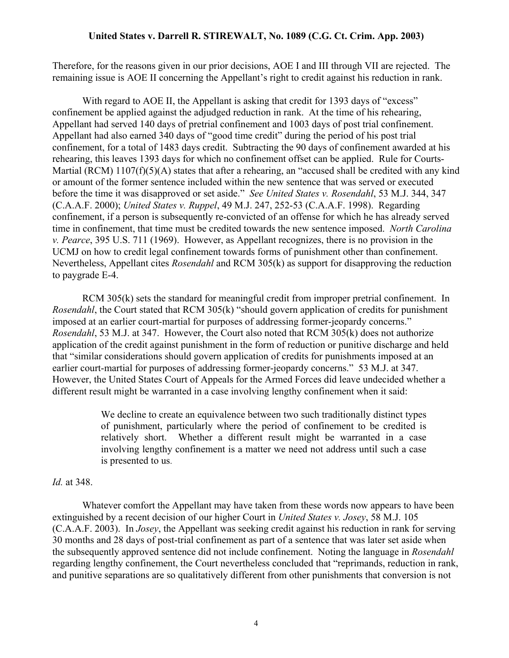Therefore, for the reasons given in our prior decisions, AOE I and III through VII are rejected. The remaining issue is AOE II concerning the Appellant's right to credit against his reduction in rank.

With regard to AOE II, the Appellant is asking that credit for 1393 days of "excess" confinement be applied against the adjudged reduction in rank. At the time of his rehearing, Appellant had served 140 days of pretrial confinement and 1003 days of post trial confinement. Appellant had also earned 340 days of "good time credit" during the period of his post trial confinement, for a total of 1483 days credit. Subtracting the 90 days of confinement awarded at his rehearing, this leaves 1393 days for which no confinement offset can be applied. Rule for Courts-Martial (RCM) 1107(f)(5)(A) states that after a rehearing, an "accused shall be credited with any kind or amount of the former sentence included within the new sentence that was served or executed before the time it was disapproved or set aside." *See United States v. Rosendahl*, 53 M.J. 344, 347 (C.A.A.F. 2000); *United States v. Ruppel*, 49 M.J. 247, 252-53 (C.A.A.F. 1998). Regarding confinement, if a person is subsequently re-convicted of an offense for which he has already served time in confinement, that time must be credited towards the new sentence imposed. *North Carolina v. Pearce*, 395 U.S. 711 (1969). However, as Appellant recognizes, there is no provision in the UCMJ on how to credit legal confinement towards forms of punishment other than confinement. Nevertheless, Appellant cites *Rosendahl* and RCM 305(k) as support for disapproving the reduction to paygrade E-4.

RCM 305(k) sets the standard for meaningful credit from improper pretrial confinement. In *Rosendahl*, the Court stated that RCM 305(k) "should govern application of credits for punishment imposed at an earlier court-martial for purposes of addressing former-jeopardy concerns." *Rosendahl*, 53 M.J. at 347. However, the Court also noted that RCM 305(k) does not authorize application of the credit against punishment in the form of reduction or punitive discharge and held that "similar considerations should govern application of credits for punishments imposed at an earlier court-martial for purposes of addressing former-jeopardy concerns." 53 M.J. at 347. However, the United States Court of Appeals for the Armed Forces did leave undecided whether a different result might be warranted in a case involving lengthy confinement when it said:

> We decline to create an equivalence between two such traditionally distinct types of punishment, particularly where the period of confinement to be credited is relatively short. Whether a different result might be warranted in a case involving lengthy confinement is a matter we need not address until such a case is presented to us.

### *Id.* at 348.

Whatever comfort the Appellant may have taken from these words now appears to have been extinguished by a recent decision of our higher Court in *United States v. Josey*, 58 M.J. 105 (C.A.A.F. 2003). In *Josey*, the Appellant was seeking credit against his reduction in rank for serving 30 months and 28 days of post-trial confinement as part of a sentence that was later set aside when the subsequently approved sentence did not include confinement. Noting the language in *Rosendahl*  regarding lengthy confinement, the Court nevertheless concluded that "reprimands, reduction in rank, and punitive separations are so qualitatively different from other punishments that conversion is not